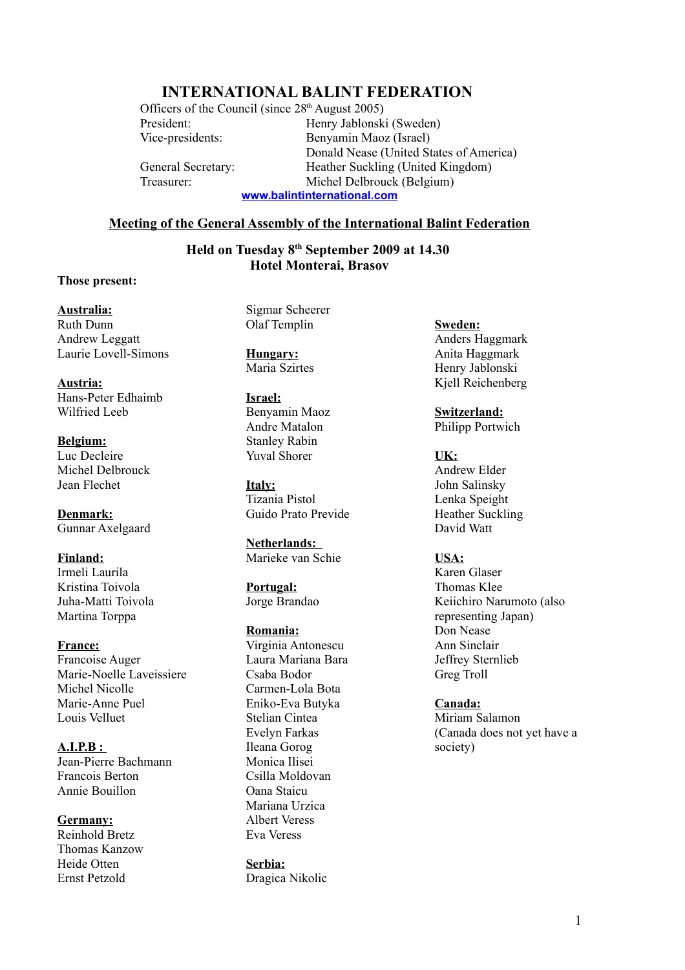# **INTERNATIONAL BALINT FEDERATION**

Officers of the Council (since  $28<sup>th</sup>$  August 2005) President: Henry Jablonski (Sweden)

Vice-presidents: Benyamin Maoz (Israel) Donald Nease (United States of America) General Secretary: Heather Suckling (United Kingdom) Treasurer: Michel Delbrouck (Belgium) **[www.balintinternational.com](http://www.balintinternational.com/)**

**Meeting of the General Assembly of the International Balint Federation**

**Held on Tuesday 8th September 2009 at 14.30 Hotel Monterai, Brasov**

### **Those present:**

### **Australia:**

Ruth Dunn Andrew Leggatt Laurie Lovell-Simons

**Austria:** Hans-Peter Edhaimb Wilfried Leeb

**Belgium:** Luc Decleire Michel Delbrouck Jean Flechet

**Denmark:** Gunnar Axelgaard

**Finland:** Irmeli Laurila Kristina Toivola Juha-Matti Toivola Martina Torppa

**France:** Francoise Auger Marie-Noelle Laveissiere Michel Nicolle Marie-Anne Puel Louis Velluet

 **A.I.P.B :** Jean-Pierre Bachmann Francois Berton Annie Bouillon

**Germany:** Reinhold Bretz Thomas Kanzow Heide Otten Ernst Petzold

Sigmar Scheerer Olaf Templin

**Hungary:** Maria Szirtes

**Israel:** Benyamin Maoz Andre Matalon Stanley Rabin Yuval Shorer

**Italy:** Tizania Pistol Guido Prato Previde

**Netherlands:**  Marieke van Schie

**Portugal:** Jorge Brandao

**Romania:** Virginia Antonescu Laura Mariana Bara Csaba Bodor Carmen-Lola Bota Eniko-Eva Butyka Stelian Cintea Evelyn Farkas Ileana Gorog Monica Ilisei Csilla Moldovan Oana Staicu Mariana Urzica Albert Veress Eva Veress

**Serbia:** Dragica Nikolic **Sweden:** Anders Haggmark Anita Haggmark Henry Jablonski Kjell Reichenberg

**Switzerland:** Philipp Portwich

**UK:** Andrew Elder John Salinsky Lenka Speight Heather Suckling David Watt

**USA:**

Karen Glaser Thomas Klee Keiichiro Narumoto (also representing Japan) Don Nease Ann Sinclair Jeffrey Sternlieb Greg Troll

**Canada:**

Miriam Salamon (Canada does not yet have a society)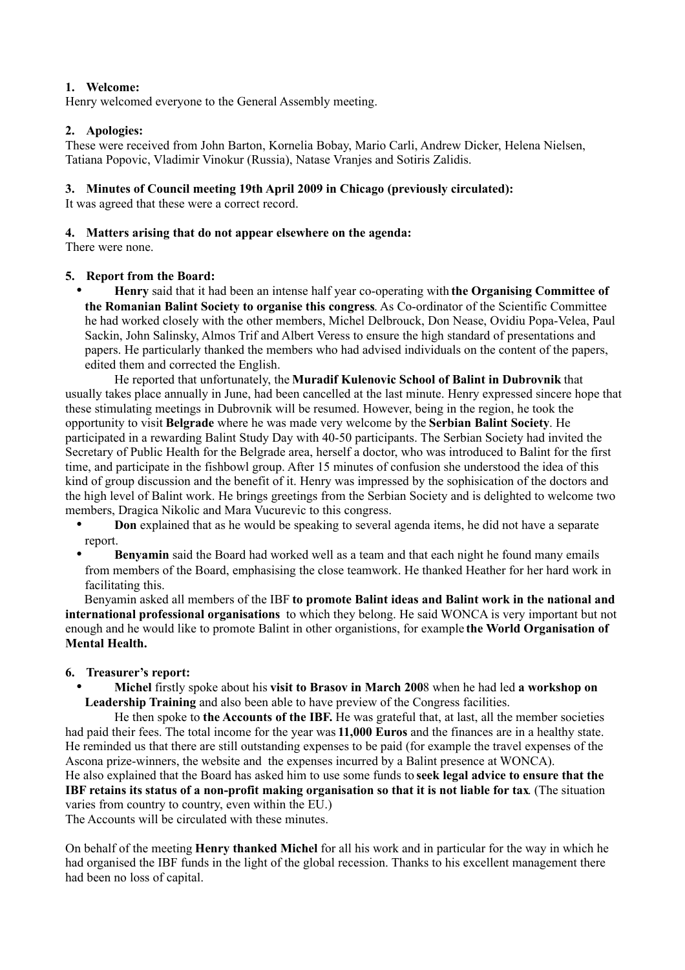# **1. Welcome:**

Henry welcomed everyone to the General Assembly meeting.

# **2. Apologies:**

These were received from John Barton, Kornelia Bobay, Mario Carli, Andrew Dicker, Helena Nielsen, Tatiana Popovic, Vladimir Vinokur (Russia), Natase Vranjes and Sotiris Zalidis.

# **3. Minutes of Council meeting 19th April 2009 in Chicago (previously circulated):**

It was agreed that these were a correct record.

## **4. Matters arising that do not appear elsewhere on the agenda:**

There were none.

## **5. Report from the Board:**

• **Henry** said that it had been an intense half year co-operating with **the Organising Committee of the Romanian Balint Society to organise this congress**. As Co-ordinator of the Scientific Committee he had worked closely with the other members, Michel Delbrouck, Don Nease, Ovidiu Popa-Velea, Paul Sackin, John Salinsky, Almos Trif and Albert Veress to ensure the high standard of presentations and papers. He particularly thanked the members who had advised individuals on the content of the papers, edited them and corrected the English.

He reported that unfortunately, the **Muradif Kulenovic School of Balint in Dubrovnik** that usually takes place annually in June, had been cancelled at the last minute. Henry expressed sincere hope that these stimulating meetings in Dubrovnik will be resumed. However, being in the region, he took the opportunity to visit **Belgrade** where he was made very welcome by the **Serbian Balint Society**. He participated in a rewarding Balint Study Day with 40-50 participants. The Serbian Society had invited the Secretary of Public Health for the Belgrade area, herself a doctor, who was introduced to Balint for the first time, and participate in the fishbowl group. After 15 minutes of confusion she understood the idea of this kind of group discussion and the benefit of it. Henry was impressed by the sophisication of the doctors and the high level of Balint work. He brings greetings from the Serbian Society and is delighted to welcome two members, Dragica Nikolic and Mara Vucurevic to this congress.

- **Don** explained that as he would be speaking to several agenda items, he did not have a separate report.
- **Benyamin** said the Board had worked well as a team and that each night he found many emails from members of the Board, emphasising the close teamwork. He thanked Heather for her hard work in facilitating this.

Benyamin asked all members of the IBF **to promote Balint ideas and Balint work in the national and international professional organisations** to which they belong. He said WONCA is very important but not enough and he would like to promote Balint in other organistions, for example **the World Organisation of Mental Health.**

## **6. Treasurer's report:**

• **Michel** firstly spoke about his **visit to Brasov in March 200**8 when he had led **a workshop on Leadership Training** and also been able to have preview of the Congress facilities.

He then spoke to **the Accounts of the IBF.** He was grateful that, at last, all the member societies had paid their fees. The total income for the year was **11,000 Euros** and the finances are in a healthy state. He reminded us that there are still outstanding expenses to be paid (for example the travel expenses of the Ascona prize-winners, the website and the expenses incurred by a Balint presence at WONCA).

He also explained that the Board has asked him to use some funds to **seek legal advice to ensure that the IBF retains its status of a non-profit making organisation so that it is not liable for tax**. (The situation varies from country to country, even within the EU.)

The Accounts will be circulated with these minutes.

On behalf of the meeting **Henry thanked Michel** for all his work and in particular for the way in which he had organised the IBF funds in the light of the global recession. Thanks to his excellent management there had been no loss of capital.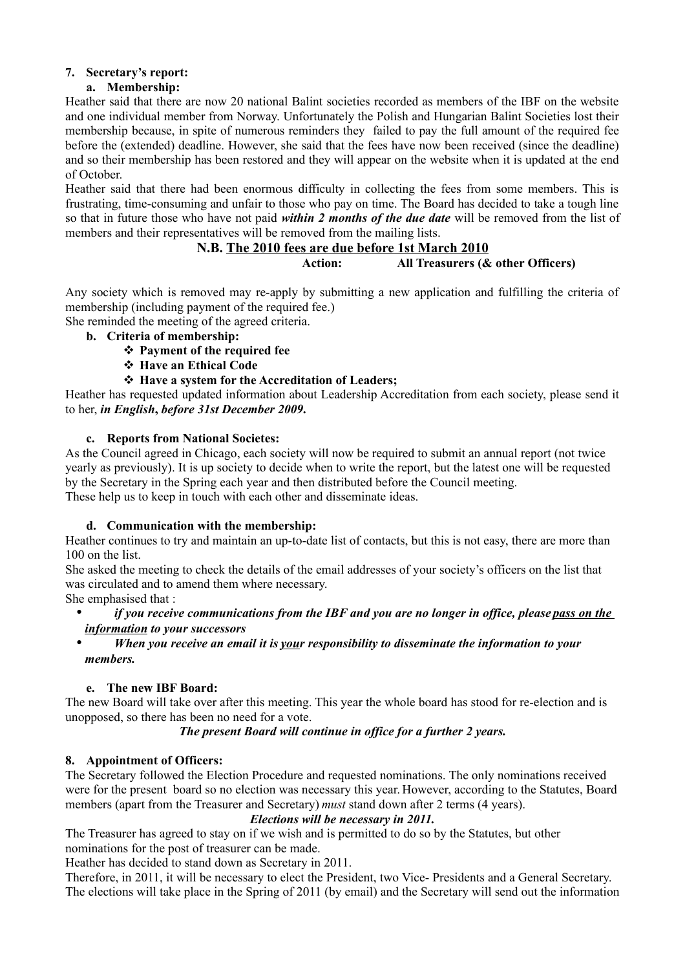# **7. Secretary's report:**

# **a. Membership:**

Heather said that there are now 20 national Balint societies recorded as members of the IBF on the website and one individual member from Norway. Unfortunately the Polish and Hungarian Balint Societies lost their membership because, in spite of numerous reminders they failed to pay the full amount of the required fee before the (extended) deadline. However, she said that the fees have now been received (since the deadline) and so their membership has been restored and they will appear on the website when it is updated at the end of October.

Heather said that there had been enormous difficulty in collecting the fees from some members. This is frustrating, time-consuming and unfair to those who pay on time. The Board has decided to take a tough line so that in future those who have not paid *within 2 months of the due date* will be removed from the list of members and their representatives will be removed from the mailing lists.

# **N.B. The 2010 fees are due before 1st March 2010**

**Action: All Treasurers (& other Officers)**

Any society which is removed may re-apply by submitting a new application and fulfilling the criteria of membership (including payment of the required fee.)

She reminded the meeting of the agreed criteria.

- **b. Criteria of membership:**
	- **Payment of the required fee**
	- **Have an Ethical Code**
	- **Have a system for the Accreditation of Leaders;**

Heather has requested updated information about Leadership Accreditation from each society, please send it to her, *in English***,** *before 31st December 2009***.**

### **c. Reports from National Societes:**

As the Council agreed in Chicago, each society will now be required to submit an annual report (not twice yearly as previously). It is up society to decide when to write the report, but the latest one will be requested by the Secretary in the Spring each year and then distributed before the Council meeting. These help us to keep in touch with each other and disseminate ideas.

## **d. Communication with the membership:**

Heather continues to try and maintain an up-to-date list of contacts, but this is not easy, there are more than 100 on the list.

She asked the meeting to check the details of the email addresses of your society's officers on the list that was circulated and to amend them where necessary.

She emphasised that :

- *if you receive communications from the IBF and you are no longer in office, please pass on the information to your successors*
- *When you receive an email it is your responsibility to disseminate the information to your members.*

## **e. The new IBF Board:**

The new Board will take over after this meeting. This year the whole board has stood for re-election and is unopposed, so there has been no need for a vote.

# *The present Board will continue in office for a further 2 years.*

## **8. Appointment of Officers:**

The Secretary followed the Election Procedure and requested nominations. The only nominations received were for the present board so no election was necessary this year. However, according to the Statutes, Board members (apart from the Treasurer and Secretary) *must* stand down after 2 terms (4 years).

### *Elections will be necessary in 2011.*

The Treasurer has agreed to stay on if we wish and is permitted to do so by the Statutes, but other nominations for the post of treasurer can be made.

Heather has decided to stand down as Secretary in 2011.

Therefore, in 2011, it will be necessary to elect the President, two Vice- Presidents and a General Secretary. The elections will take place in the Spring of 2011 (by email) and the Secretary will send out the information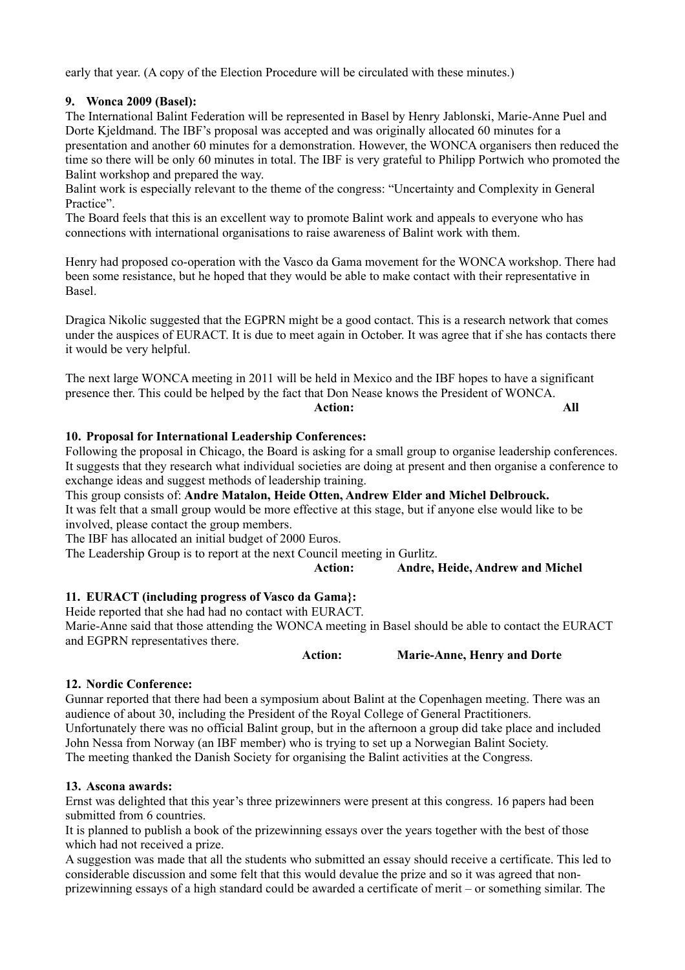early that year. (A copy of the Election Procedure will be circulated with these minutes.)

## **9. Wonca 2009 (Basel):**

The International Balint Federation will be represented in Basel by Henry Jablonski, Marie-Anne Puel and Dorte Kjeldmand. The IBF's proposal was accepted and was originally allocated 60 minutes for a presentation and another 60 minutes for a demonstration. However, the WONCA organisers then reduced the time so there will be only 60 minutes in total. The IBF is very grateful to Philipp Portwich who promoted the Balint workshop and prepared the way.

Balint work is especially relevant to the theme of the congress: "Uncertainty and Complexity in General Practice"

The Board feels that this is an excellent way to promote Balint work and appeals to everyone who has connections with international organisations to raise awareness of Balint work with them.

Henry had proposed co-operation with the Vasco da Gama movement for the WONCA workshop. There had been some resistance, but he hoped that they would be able to make contact with their representative in Basel.

Dragica Nikolic suggested that the EGPRN might be a good contact. This is a research network that comes under the auspices of EURACT. It is due to meet again in October. It was agree that if she has contacts there it would be very helpful.

The next large WONCA meeting in 2011 will be held in Mexico and the IBF hopes to have a significant presence ther. This could be helped by the fact that Don Nease knows the President of WONCA. **Action: All**

## **10. Proposal for International Leadership Conferences:**

Following the proposal in Chicago, the Board is asking for a small group to organise leadership conferences. It suggests that they research what individual societies are doing at present and then organise a conference to exchange ideas and suggest methods of leadership training.

This group consists of: **Andre Matalon, Heide Otten, Andrew Elder and Michel Delbrouck.** It was felt that a small group would be more effective at this stage, but if anyone else would like to be involved, please contact the group members.

The IBF has allocated an initial budget of 2000 Euros.

The Leadership Group is to report at the next Council meeting in Gurlitz.

**Action: Andre, Heide, Andrew and Michel**

## **11. EURACT (including progress of Vasco da Gama}:**

Heide reported that she had had no contact with EURACT.

Marie-Anne said that those attending the WONCA meeting in Basel should be able to contact the EURACT and EGPRN representatives there.

**Action: Marie-Anne, Henry and Dorte**

### **12. Nordic Conference:**

Gunnar reported that there had been a symposium about Balint at the Copenhagen meeting. There was an audience of about 30, including the President of the Royal College of General Practitioners. Unfortunately there was no official Balint group, but in the afternoon a group did take place and included John Nessa from Norway (an IBF member) who is trying to set up a Norwegian Balint Society. The meeting thanked the Danish Society for organising the Balint activities at the Congress.

## **13. Ascona awards:**

Ernst was delighted that this year's three prizewinners were present at this congress. 16 papers had been submitted from 6 countries.

It is planned to publish a book of the prizewinning essays over the years together with the best of those which had not received a prize.

A suggestion was made that all the students who submitted an essay should receive a certificate. This led to considerable discussion and some felt that this would devalue the prize and so it was agreed that nonprizewinning essays of a high standard could be awarded a certificate of merit – or something similar. The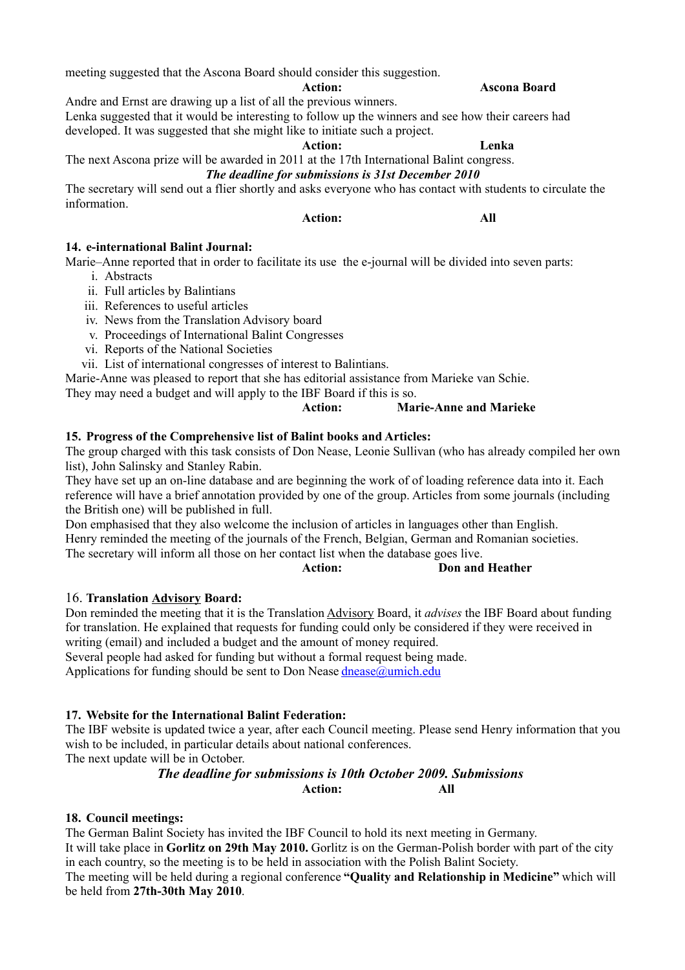meeting suggested that the Ascona Board should consider this suggestion.

**Action: Ascona Board**

Andre and Ernst are drawing up a list of all the previous winners.

Lenka suggested that it would be interesting to follow up the winners and see how their careers had developed. It was suggested that she might like to initiate such a project.

**Action: Lenka**

# The next Ascona prize will be awarded in 2011 at the 17th International Balint congress. *The deadline for submissions is 31st December 2010*

The secretary will send out a flier shortly and asks everyone who has contact with students to circulate the information.

# **Action: All**

**14. e-international Balint Journal:**

Marie–Anne reported that in order to facilitate its use the e-journal will be divided into seven parts:

- i. Abstracts
- ii. Full articles by Balintians
- iii. References to useful articles
- iv. News from the Translation Advisory board
- v. Proceedings of International Balint Congresses
- vi. Reports of the National Societies
- vii. List of international congresses of interest to Balintians.

Marie-Anne was pleased to report that she has editorial assistance from Marieke van Schie.

They may need a budget and will apply to the IBF Board if this is so.

**Action: Marie-Anne and Marieke**

### **15. Progress of the Comprehensive list of Balint books and Articles:**

The group charged with this task consists of Don Nease, Leonie Sullivan (who has already compiled her own list), John Salinsky and Stanley Rabin.

They have set up an on-line database and are beginning the work of of loading reference data into it. Each reference will have a brief annotation provided by one of the group. Articles from some journals (including the British one) will be published in full.

Don emphasised that they also welcome the inclusion of articles in languages other than English. Henry reminded the meeting of the journals of the French, Belgian, German and Romanian societies. The secretary will inform all those on her contact list when the database goes live.

**Action: Don and Heather**

## 16. **Translation Advisory Board:**

Don reminded the meeting that it is the Translation Advisory Board, it *advises* the IBF Board about funding for translation. He explained that requests for funding could only be considered if they were received in writing (email) and included a budget and the amount of money required.

Several people had asked for funding but without a formal request being made.

Applications for funding should be sent to Don Nease [dnease@umich.edu](mailto:d.nease@umich.edu)

## **17. Website for the International Balint Federation:**

The IBF website is updated twice a year, after each Council meeting. Please send Henry information that you wish to be included, in particular details about national conferences.

The next update will be in October.

# *The deadline for submissions is 10th October 2009. Submissions*  **Action: All**

## **18. Council meetings:**

The German Balint Society has invited the IBF Council to hold its next meeting in Germany.

It will take place in **Gorlitz on 29th May 2010.** Gorlitz is on the German-Polish border with part of the city in each country, so the meeting is to be held in association with the Polish Balint Society.

The meeting will be held during a regional conference **"Quality and Relationship in Medicine"** which will be held from **27th-30th May 2010**.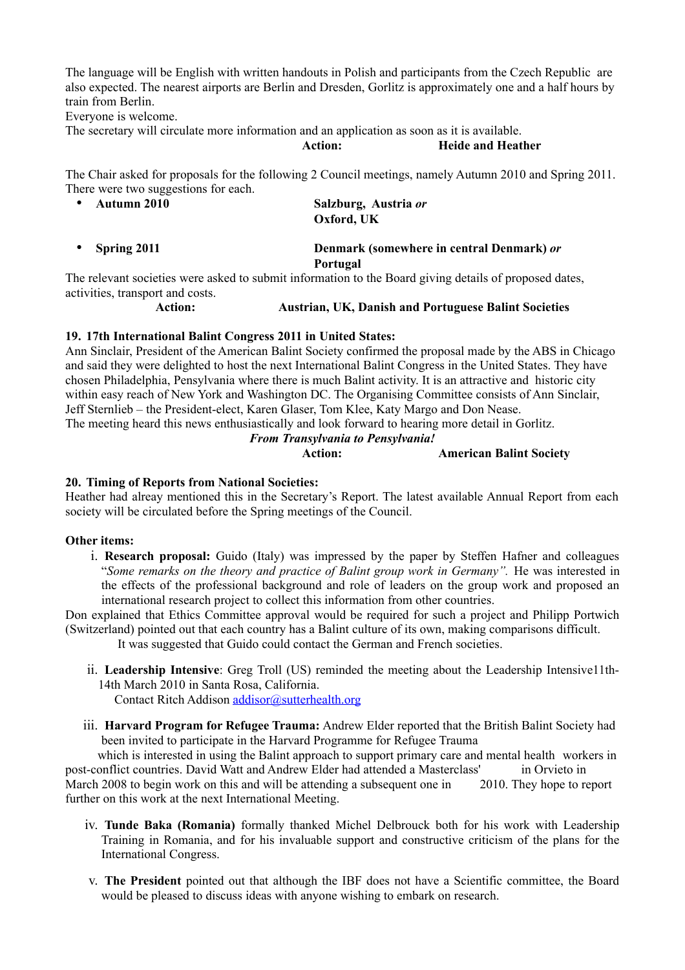The language will be English with written handouts in Polish and participants from the Czech Republic are also expected. The nearest airports are Berlin and Dresden, Gorlitz is approximately one and a half hours by train from Berlin.

Everyone is welcome.

The secretary will circulate more information and an application as soon as it is available.

**Action: Heide and Heather**

The Chair asked for proposals for the following 2 Council meetings, namely Autumn 2010 and Spring 2011. There were two suggestions for each.

| • Autumn 2010 | Salzburg, Austria or |
|---------------|----------------------|
|               | Oxford, UK           |
|               |                      |

• **Spring 2011 Denmark (somewhere in central Denmark)** *or* **Portugal**

The relevant societies were asked to submit information to the Board giving details of proposed dates, activities, transport and costs.

# **Action: Austrian, UK, Danish and Portuguese Balint Societies**

### **19. 17th International Balint Congress 2011 in United States:**

Ann Sinclair, President of the American Balint Society confirmed the proposal made by the ABS in Chicago and said they were delighted to host the next International Balint Congress in the United States. They have chosen Philadelphia, Pensylvania where there is much Balint activity. It is an attractive and historic city within easy reach of New York and Washington DC. The Organising Committee consists of Ann Sinclair, Jeff Sternlieb – the President-elect, Karen Glaser, Tom Klee, Katy Margo and Don Nease.

The meeting heard this news enthusiastically and look forward to hearing more detail in Gorlitz.

### *From Transylvania to Pensylvania!*

```
Action: American Balint Society
```
### **20. Timing of Reports from National Societies:**

Heather had alreay mentioned this in the Secretary's Report. The latest available Annual Report from each society will be circulated before the Spring meetings of the Council.

### **Other items:**

i. **Research proposal:** Guido (Italy) was impressed by the paper by Steffen Hafner and colleagues "*Some remarks on the theory and practice of Balint group work in Germany".* He was interested in the effects of the professional background and role of leaders on the group work and proposed an international research project to collect this information from other countries.

Don explained that Ethics Committee approval would be required for such a project and Philipp Portwich (Switzerland) pointed out that each country has a Balint culture of its own, making comparisons difficult.

It was suggested that Guido could contact the German and French societies.

ii. **Leadership Intensive**: Greg Troll (US) reminded the meeting about the Leadership Intensive11th-14th March 2010 in Santa Rosa, California.

Contact Ritch Addison [addisor@sutterhealth.org](mailto:addisor@sutterhealth.org)

iii. **Harvard Program for Refugee Trauma:** Andrew Elder reported that the British Balint Society had been invited to participate in the Harvard Programme for Refugee Trauma

which is interested in using the Balint approach to support primary care and mental health workers in post-conflict countries. David Watt and Andrew Elder had attended a Masterclass' in Orvieto in March 2008 to begin work on this and will be attending a subsequent one in 2010. They hope to report further on this work at the next International Meeting.

- iv. **Tunde Baka (Romania)** formally thanked Michel Delbrouck both for his work with Leadership Training in Romania, and for his invaluable support and constructive criticism of the plans for the International Congress.
- v. **The President** pointed out that although the IBF does not have a Scientific committee, the Board would be pleased to discuss ideas with anyone wishing to embark on research.